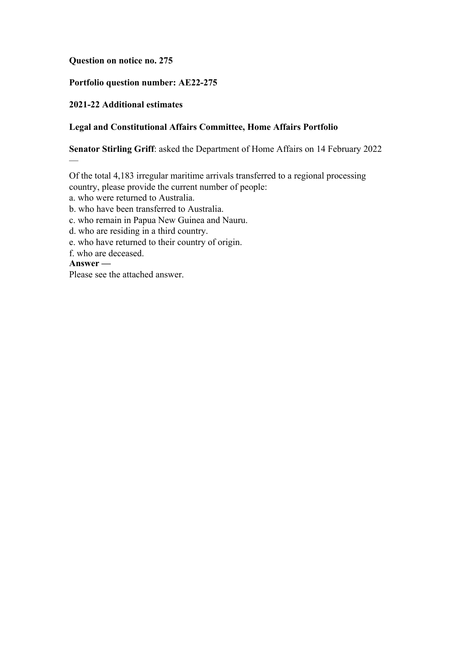### **Question on notice no. 275**

## **Portfolio question number: AE22-275**

### **2021-22 Additional estimates**

### **Legal and Constitutional Affairs Committee, Home Affairs Portfolio**

**Senator Stirling Griff**: asked the Department of Home Affairs on 14 February 2022

Of the total 4,183 irregular maritime arrivals transferred to a regional processing country, please provide the current number of people:

a. who were returned to Australia.

b. who have been transferred to Australia.

c. who remain in Papua New Guinea and Nauru.

d. who are residing in a third country.

e. who have returned to their country of origin.

f. who are deceased.

#### **Answer —**

—

Please see the attached answer.